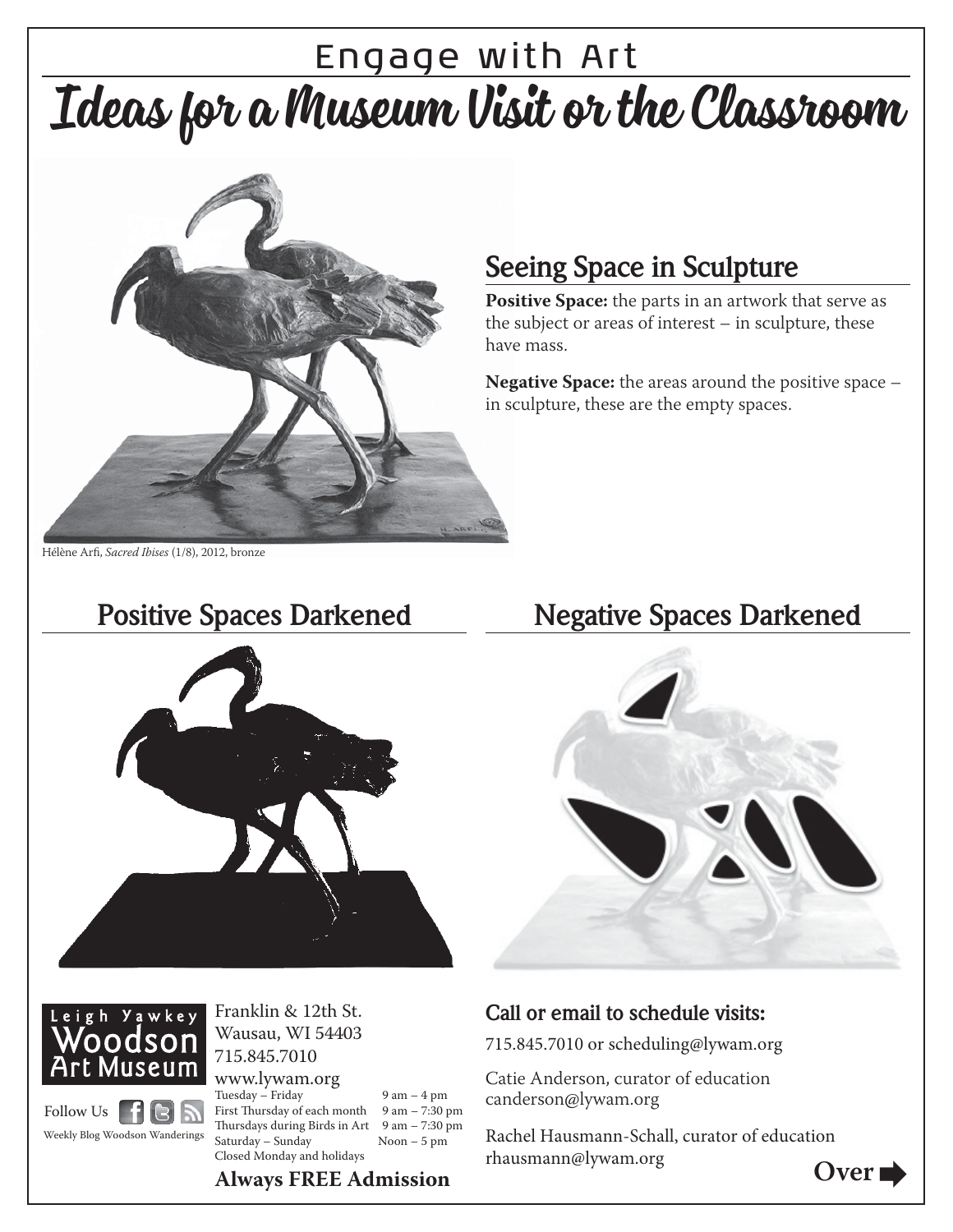# Engage with Art Ideas for a Museum Visit or the Classroom



### **Seeing Space in Sculpture**

**Positive Space:** the parts in an artwork that serve as the subject or areas of interest – in sculpture, these have mass.

**Negative Space:** the areas around the positive space – in sculpture, these are the empty spaces.

Hélène Arfi, Sacred Ibises (1/8), 2012, bronze





Franklin & 12th St. Wausau, WI 54403 715.845.7010

Tuesday – Friday 9 am – 4 pm Follow Us | F G N Weekly Blog Woodson Wanderings

www.lywam.org

First Thursday of each month  $9$  am  $- 7:30$  pm Thursdays during Birds in Art  $9$  am  $- 7:30$  pm Saturday – Sunday Noon – 5 pm Closed Monday and holidays

#### **Positive Spaces Darkened Negative Spaces Darkened**



#### **Call or email to schedule visits:**

715.845.7010 or scheduling@lywam.org

Catie Anderson, curator of education canderson@lywam.org

Rachel Hausmann-Schall, curator of education rhausmann@lywam.org